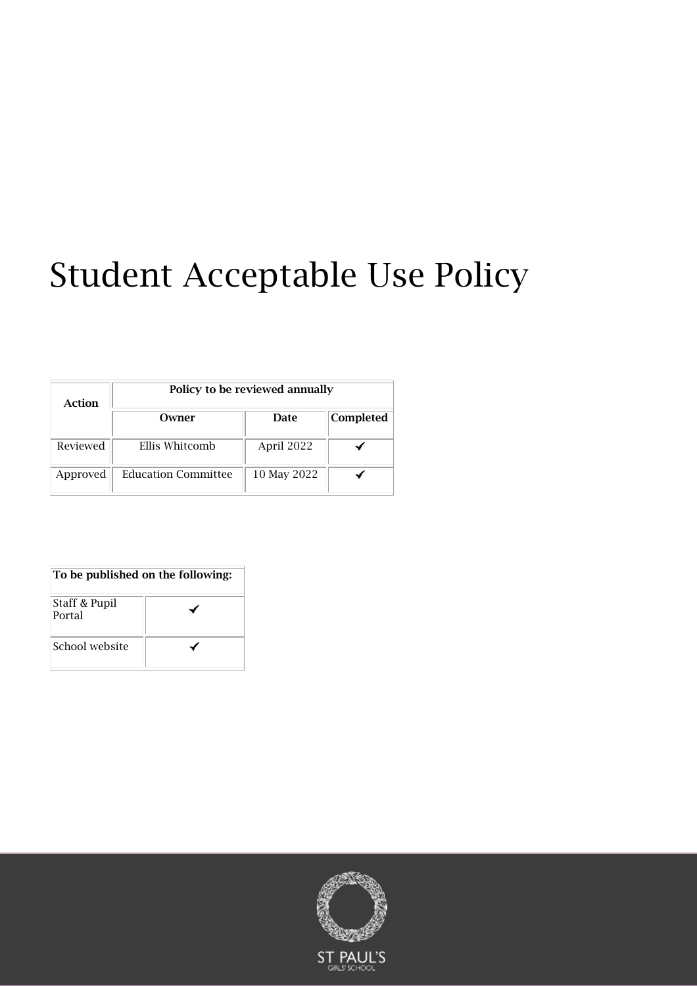# Student Acceptable Use Policy

| Action   | Policy to be reviewed annually |             |           |  |
|----------|--------------------------------|-------------|-----------|--|
|          | Owner                          | Date        | Completed |  |
| Reviewed | Ellis Whitcomb                 | April 2022  |           |  |
| Approved | <b>Education Committee</b>     | 10 May 2022 |           |  |

#### To be published on the following:

| Staff & Pupil<br>Portal |  |
|-------------------------|--|
| School website          |  |

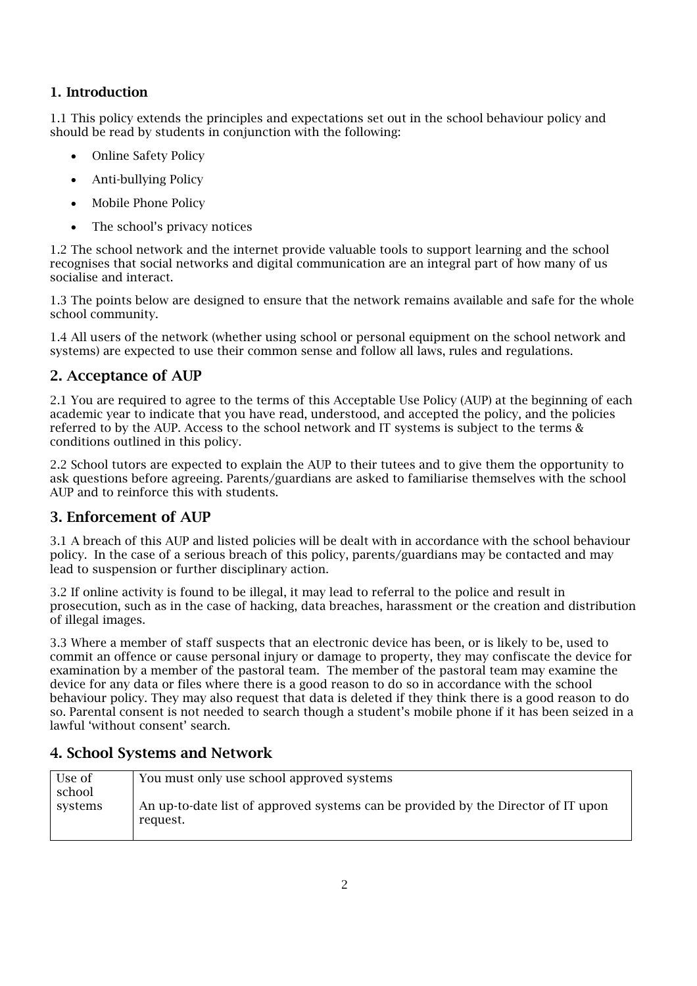#### 1. Introduction

1.1 This policy extends the principles and expectations set out in the school behaviour policy and should be read by students in conjunction with the following:

- Online Safety Policy
- Anti-bullying Policy
- Mobile Phone Policy
- The school's privacy notices

1.2 The school network and the internet provide valuable tools to support learning and the school recognises that social networks and digital communication are an integral part of how many of us socialise and interact.

1.3 The points below are designed to ensure that the network remains available and safe for the whole school community.

1.4 All users of the network (whether using school or personal equipment on the school network and systems) are expected to use their common sense and follow all laws, rules and regulations.

#### 2. Acceptance of AUP

2.1 You are required to agree to the terms of this Acceptable Use Policy (AUP) at the beginning of each academic year to indicate that you have read, understood, and accepted the policy, and the policies referred to by the AUP. Access to the school network and IT systems is subject to the terms & conditions outlined in this policy.

2.2 School tutors are expected to explain the AUP to their tutees and to give them the opportunity to ask questions before agreeing. Parents/guardians are asked to familiarise themselves with the school AUP and to reinforce this with students.

### 3. Enforcement of AUP

3.1 A breach of this AUP and listed policies will be dealt with in accordance with the school behaviour policy. In the case of a serious breach of this policy, parents/guardians may be contacted and may lead to suspension or further disciplinary action.

3.2 If online activity is found to be illegal, it may lead to referral to the police and result in prosecution, such as in the case of hacking, data breaches, harassment or the creation and distribution of illegal images.

3.3 Where a member of staff suspects that an electronic device has been, or is likely to be, used to commit an offence or cause personal injury or damage to property, they may confiscate the device for examination by a member of the pastoral team. The member of the pastoral team may examine the device for any data or files where there is a good reason to do so in accordance with the school behaviour policy. They may also request that data is deleted if they think there is a good reason to do so. Parental consent is not needed to search though a student's mobile phone if it has been seized in a lawful 'without consent' search.

### 4. School Systems and Network

| Use of  | You must only use school approved systems                                         |
|---------|-----------------------------------------------------------------------------------|
| school  |                                                                                   |
| systems | An up-to-date list of approved systems can be provided by the Director of IT upon |
|         | request.                                                                          |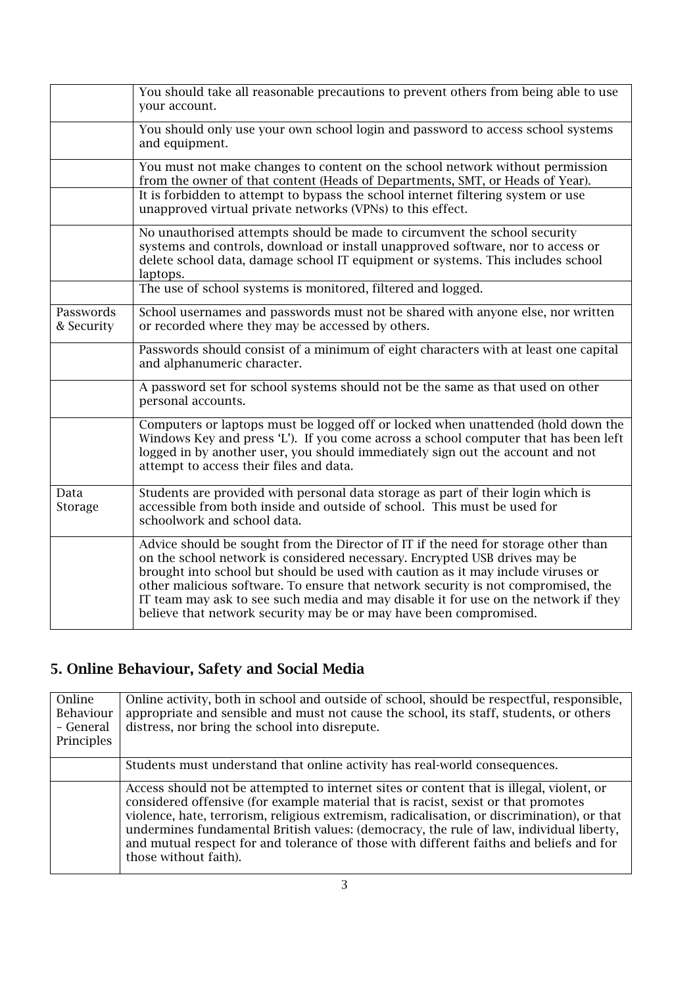|                         | You should take all reasonable precautions to prevent others from being able to use<br>your account.                                                                                                                                                                                                                                                                                                                                                                                                   |
|-------------------------|--------------------------------------------------------------------------------------------------------------------------------------------------------------------------------------------------------------------------------------------------------------------------------------------------------------------------------------------------------------------------------------------------------------------------------------------------------------------------------------------------------|
|                         | You should only use your own school login and password to access school systems<br>and equipment.                                                                                                                                                                                                                                                                                                                                                                                                      |
|                         | You must not make changes to content on the school network without permission<br>from the owner of that content (Heads of Departments, SMT, or Heads of Year).                                                                                                                                                                                                                                                                                                                                         |
|                         | It is forbidden to attempt to bypass the school internet filtering system or use<br>unapproved virtual private networks (VPNs) to this effect.                                                                                                                                                                                                                                                                                                                                                         |
|                         | No unauthorised attempts should be made to circumvent the school security<br>systems and controls, download or install unapproved software, nor to access or<br>delete school data, damage school IT equipment or systems. This includes school<br>laptops.                                                                                                                                                                                                                                            |
|                         | The use of school systems is monitored, filtered and logged.                                                                                                                                                                                                                                                                                                                                                                                                                                           |
| Passwords<br>& Security | School usernames and passwords must not be shared with anyone else, nor written<br>or recorded where they may be accessed by others.                                                                                                                                                                                                                                                                                                                                                                   |
|                         | Passwords should consist of a minimum of eight characters with at least one capital<br>and alphanumeric character.                                                                                                                                                                                                                                                                                                                                                                                     |
|                         | A password set for school systems should not be the same as that used on other<br>personal accounts.                                                                                                                                                                                                                                                                                                                                                                                                   |
|                         | Computers or laptops must be logged off or locked when unattended (hold down the<br>Windows Key and press 'L'). If you come across a school computer that has been left<br>logged in by another user, you should immediately sign out the account and not<br>attempt to access their files and data.                                                                                                                                                                                                   |
| Data<br>Storage         | Students are provided with personal data storage as part of their login which is<br>accessible from both inside and outside of school. This must be used for<br>schoolwork and school data.                                                                                                                                                                                                                                                                                                            |
|                         | Advice should be sought from the Director of IT if the need for storage other than<br>on the school network is considered necessary. Encrypted USB drives may be<br>brought into school but should be used with caution as it may include viruses or<br>other malicious software. To ensure that network security is not compromised, the<br>IT team may ask to see such media and may disable it for use on the network if they<br>believe that network security may be or may have been compromised. |

# 5. Online Behaviour, Safety and Social Media

| Online<br>Behaviour<br>- General<br>Principles | Online activity, both in school and outside of school, should be respectful, responsible,<br>appropriate and sensible and must not cause the school, its staff, students, or others<br>distress, nor bring the school into disrepute.                                                                                                                                                                                                                                                        |
|------------------------------------------------|----------------------------------------------------------------------------------------------------------------------------------------------------------------------------------------------------------------------------------------------------------------------------------------------------------------------------------------------------------------------------------------------------------------------------------------------------------------------------------------------|
|                                                | Students must understand that online activity has real-world consequences.                                                                                                                                                                                                                                                                                                                                                                                                                   |
|                                                | Access should not be attempted to internet sites or content that is illegal, violent, or<br>considered offensive (for example material that is racist, sexist or that promotes<br>violence, hate, terrorism, religious extremism, radicalisation, or discrimination), or that<br>undermines fundamental British values: (democracy, the rule of law, individual liberty,<br>and mutual respect for and tolerance of those with different faiths and beliefs and for<br>those without faith). |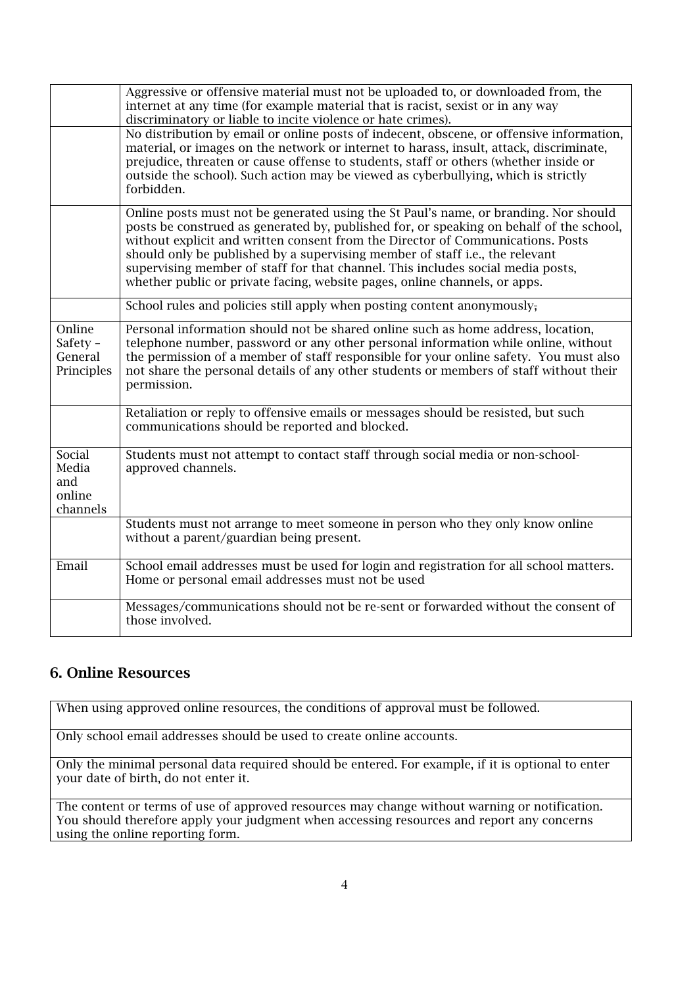|                                              | Aggressive or offensive material must not be uploaded to, or downloaded from, the<br>internet at any time (for example material that is racist, sexist or in any way<br>discriminatory or liable to incite violence or hate crimes).<br>No distribution by email or online posts of indecent, obscene, or offensive information,<br>material, or images on the network or internet to harass, insult, attack, discriminate,<br>prejudice, threaten or cause offense to students, staff or others (whether inside or<br>outside the school). Such action may be viewed as cyberbullying, which is strictly<br>forbidden. |
|----------------------------------------------|-------------------------------------------------------------------------------------------------------------------------------------------------------------------------------------------------------------------------------------------------------------------------------------------------------------------------------------------------------------------------------------------------------------------------------------------------------------------------------------------------------------------------------------------------------------------------------------------------------------------------|
|                                              | Online posts must not be generated using the St Paul's name, or branding. Nor should<br>posts be construed as generated by, published for, or speaking on behalf of the school,<br>without explicit and written consent from the Director of Communications. Posts<br>should only be published by a supervising member of staff i.e., the relevant<br>supervising member of staff for that channel. This includes social media posts,<br>whether public or private facing, website pages, online channels, or apps.                                                                                                     |
|                                              | School rules and policies still apply when posting content anonymously,                                                                                                                                                                                                                                                                                                                                                                                                                                                                                                                                                 |
| Online<br>Safety -<br>General<br>Principles  | Personal information should not be shared online such as home address, location,<br>telephone number, password or any other personal information while online, without<br>the permission of a member of staff responsible for your online safety. You must also<br>not share the personal details of any other students or members of staff without their<br>permission.                                                                                                                                                                                                                                                |
|                                              | Retaliation or reply to offensive emails or messages should be resisted, but such<br>communications should be reported and blocked.                                                                                                                                                                                                                                                                                                                                                                                                                                                                                     |
| Social<br>Media<br>and<br>online<br>channels | Students must not attempt to contact staff through social media or non-school-<br>approved channels.                                                                                                                                                                                                                                                                                                                                                                                                                                                                                                                    |
|                                              | Students must not arrange to meet someone in person who they only know online<br>without a parent/guardian being present.                                                                                                                                                                                                                                                                                                                                                                                                                                                                                               |
| Email                                        | School email addresses must be used for login and registration for all school matters.<br>Home or personal email addresses must not be used                                                                                                                                                                                                                                                                                                                                                                                                                                                                             |
|                                              | Messages/communications should not be re-sent or forwarded without the consent of<br>those involved.                                                                                                                                                                                                                                                                                                                                                                                                                                                                                                                    |

### 6. Online Resources

When using approved online resources, the conditions of approval must be followed.

Only school email addresses should be used to create online accounts.

Only the minimal personal data required should be entered. For example, if it is optional to enter your date of birth, do not enter it.

The content or terms of use of approved resources may change without warning or notification. You should therefore apply your judgment when accessing resources and report any concerns using the online reporting form.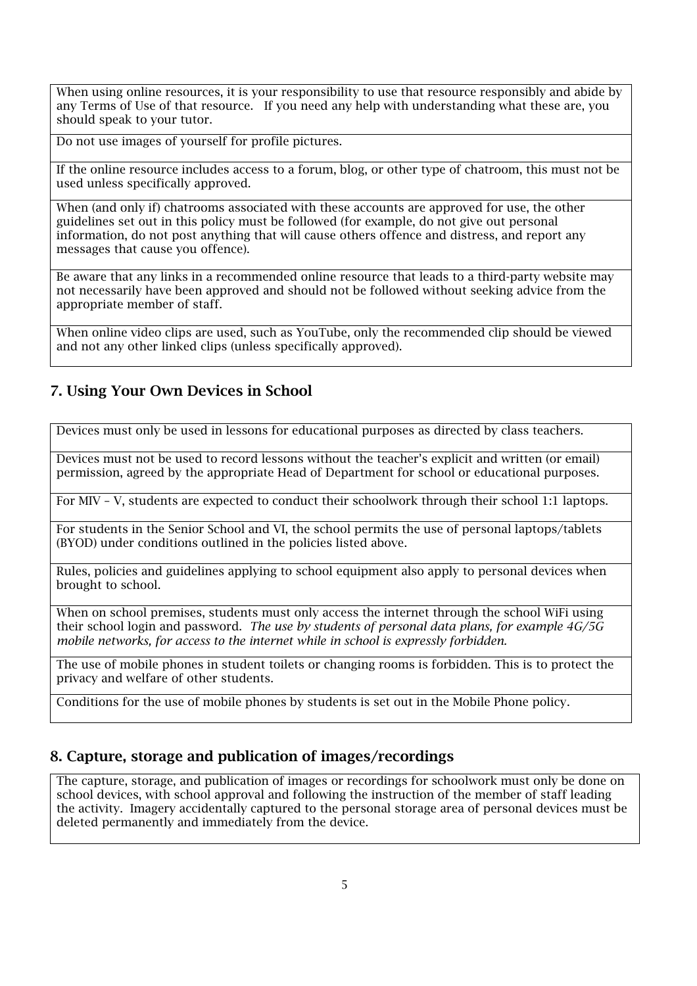When using online resources, it is your responsibility to use that resource responsibly and abide by any Terms of Use of that resource. If you need any help with understanding what these are, you should speak to your tutor.

Do not use images of yourself for profile pictures.

If the online resource includes access to a forum, blog, or other type of chatroom, this must not be used unless specifically approved.

When (and only if) chatrooms associated with these accounts are approved for use, the other guidelines set out in this policy must be followed (for example, do not give out personal information, do not post anything that will cause others offence and distress, and report any messages that cause you offence).

Be aware that any links in a recommended online resource that leads to a third-party website may not necessarily have been approved and should not be followed without seeking advice from the appropriate member of staff.

When online video clips are used, such as YouTube, only the recommended clip should be viewed and not any other linked clips (unless specifically approved).

## 7. Using Your Own Devices in School

Devices must only be used in lessons for educational purposes as directed by class teachers.

Devices must not be used to record lessons without the teacher's explicit and written (or email) permission, agreed by the appropriate Head of Department for school or educational purposes.

For MIV – V, students are expected to conduct their schoolwork through their school 1:1 laptops.

For students in the Senior School and VI, the school permits the use of personal laptops/tablets (BYOD) under conditions outlined in the policies listed above.

Rules, policies and guidelines applying to school equipment also apply to personal devices when brought to school.

When on school premises, students must only access the internet through the school WiFi using their school login and password. *The use by students of personal data plans, for example 4G/5G mobile networks, for access to the internet while in school is expressly forbidden.*

The use of mobile phones in student toilets or changing rooms is forbidden. This is to protect the privacy and welfare of other students.

Conditions for the use of mobile phones by students is set out in the Mobile Phone policy.

### 8. Capture, storage and publication of images/recordings

The capture, storage, and publication of images or recordings for schoolwork must only be done on school devices, with school approval and following the instruction of the member of staff leading the activity. Imagery accidentally captured to the personal storage area of personal devices must be deleted permanently and immediately from the device.